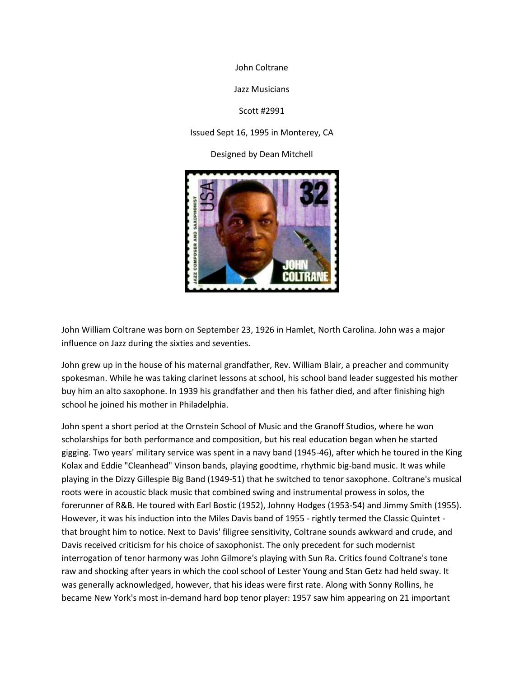John Coltrane

Jazz Musicians

Scott #2991

Issued Sept 16, 1995 in Monterey, CA

Designed by Dean Mitchell



John William Coltrane was born on September 23, 1926 in Hamlet, North Carolina. John was a major influence on Jazz during the sixties and seventies.

John grew up in the house of his maternal grandfather, Rev. William Blair, a preacher and community spokesman. While he was taking clarinet lessons at school, his school band leader suggested his mother buy him an alto saxophone. In 1939 his grandfather and then his father died, and after finishing high school he joined his mother in Philadelphia.

John spent a short period at the Ornstein School of Music and the Granoff Studios, where he won scholarships for both performance and composition, but his real education began when he started gigging. Two years' military service was spent in a navy band (1945-46), after which he toured in the King Kolax and Eddie "Cleanhead" Vinson bands, playing goodtime, rhythmic big-band music. It was while playing in the Dizzy Gillespie Big Band (1949-51) that he switched to tenor saxophone. Coltrane's musical roots were in acoustic black music that combined swing and instrumental prowess in solos, the forerunner of R&B. He toured with Earl Bostic (1952), Johnny Hodges (1953-54) and Jimmy Smith (1955). However, it was his induction into the Miles Davis band of 1955 - rightly termed the Classic Quintet that brought him to notice. Next to Davis' filigree sensitivity, Coltrane sounds awkward and crude, and Davis received criticism for his choice of saxophonist. The only precedent for such modernist interrogation of tenor harmony was John Gilmore's playing with Sun Ra. Critics found Coltrane's tone raw and shocking after years in which the cool school of Lester Young and Stan Getz had held sway. It was generally acknowledged, however, that his ideas were first rate. Along with Sonny Rollins, he became New York's most in-demand hard bop tenor player: 1957 saw him appearing on 21 important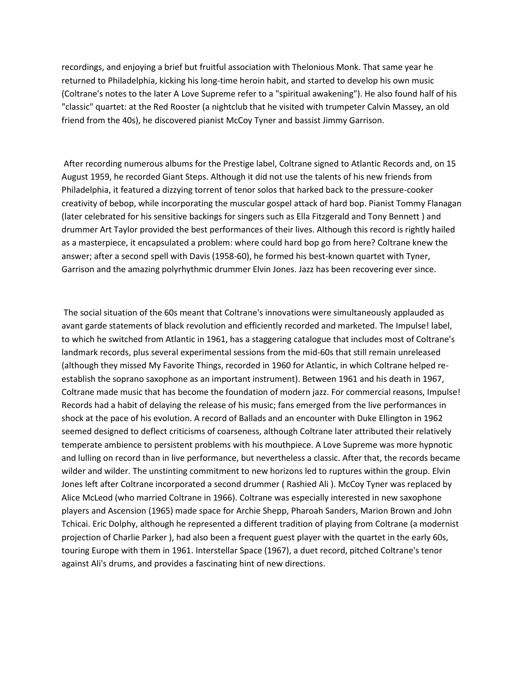recordings, and enjoying a brief but fruitful association with Thelonious Monk. That same year he returned to Philadelphia, kicking his long-time heroin habit, and started to develop his own music (Coltrane's notes to the later A Love Supreme refer to a "spiritual awakening"). He also found half of his "classic" quartet: at the Red Rooster (a nightclub that he visited with trumpeter Calvin Massey, an old friend from the 40s), he discovered pianist McCoy Tyner and bassist Jimmy Garrison.

After recording numerous albums for the Prestige label, Coltrane signed to Atlantic Records and, on 15 August 1959, he recorded Giant Steps. Although it did not use the talents of his new friends from Philadelphia, it featured a dizzying torrent of tenor solos that harked back to the pressure-cooker creativity of bebop, while incorporating the muscular gospel attack of hard bop. Pianist Tommy Flanagan (later celebrated for his sensitive backings for singers such as Ella Fitzgerald and Tony Bennett ) and drummer Art Taylor provided the best performances of their lives. Although this record is rightly hailed as a masterpiece, it encapsulated a problem: where could hard bop go from here? Coltrane knew the answer; after a second spell with Davis (1958-60), he formed his best-known quartet with Tyner, Garrison and the amazing polyrhythmic drummer Elvin Jones. Jazz has been recovering ever since.

The social situation of the 60s meant that Coltrane's innovations were simultaneously applauded as avant garde statements of black revolution and efficiently recorded and marketed. The Impulse! label, to which he switched from Atlantic in 1961, has a staggering catalogue that includes most of Coltrane's landmark records, plus several experimental sessions from the mid-60s that still remain unreleased (although they missed My Favorite Things, recorded in 1960 for Atlantic, in which Coltrane helped reestablish the soprano saxophone as an important instrument). Between 1961 and his death in 1967, Coltrane made music that has become the foundation of modern jazz. For commercial reasons, Impulse! Records had a habit of delaying the release of his music; fans emerged from the live performances in shock at the pace of his evolution. A record of Ballads and an encounter with Duke Ellington in 1962 seemed designed to deflect criticisms of coarseness, although Coltrane later attributed their relatively temperate ambience to persistent problems with his mouthpiece. A Love Supreme was more hypnotic and lulling on record than in live performance, but nevertheless a classic. After that, the records became wilder and wilder. The unstinting commitment to new horizons led to ruptures within the group. Elvin Jones left after Coltrane incorporated a second drummer ( Rashied Ali ). McCoy Tyner was replaced by Alice McLeod (who married Coltrane in 1966). Coltrane was especially interested in new saxophone players and Ascension (1965) made space for Archie Shepp, Pharoah Sanders, Marion Brown and John Tchicai. Eric Dolphy, although he represented a different tradition of playing from Coltrane (a modernist projection of Charlie Parker ), had also been a frequent guest player with the quartet in the early 60s, touring Europe with them in 1961. Interstellar Space (1967), a duet record, pitched Coltrane's tenor against Ali's drums, and provides a fascinating hint of new directions.